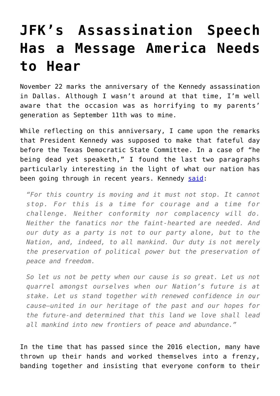## **[JFK's Assassination Speech](https://intellectualtakeout.org/2016/11/jfks-assassination-speech-has-a-message-america-needs-to-hear/) [Has a Message America Needs](https://intellectualtakeout.org/2016/11/jfks-assassination-speech-has-a-message-america-needs-to-hear/) [to Hear](https://intellectualtakeout.org/2016/11/jfks-assassination-speech-has-a-message-america-needs-to-hear/)**

November 22 marks the anniversary of the Kennedy assassination in Dallas. Although I wasn't around at that time, I'm well aware that the occasion was as horrifying to my parents' generation as September 11th was to mine.

While reflecting on this anniversary, I came upon the remarks that President Kennedy was supposed to make that fateful day before the Texas Democratic State Committee. In a case of "he being dead yet speaketh," I found the last two paragraphs particularly interesting in the light of what our nation has been going through in recent years. Kennedy [said:](https://www.jfklibrary.org/Research/Research-Aids/JFK-Speeches/Austin-TX-Undelivered_19631122.aspx)

*"For this country is moving and it must not stop. It cannot stop. For this is a time for courage and a time for challenge. Neither conformity nor complacency will do. Neither the fanatics nor the faint-hearted are needed. And our duty as a party is not to our party alone, but to the Nation, and, indeed, to all mankind. Our duty is not merely the preservation of political power but the preservation of peace and freedom.*

*So let us not be petty when our cause is so great. Let us not quarrel amongst ourselves when our Nation's future is at stake. Let us stand together with renewed confidence in our cause–united in our heritage of the past and our hopes for the future-and determined that this land we love shall lead all mankind into new frontiers of peace and abundance."*

In the time that has passed since the 2016 election, many have thrown up their hands and worked themselves into a frenzy, banding together and insisting that everyone conform to their